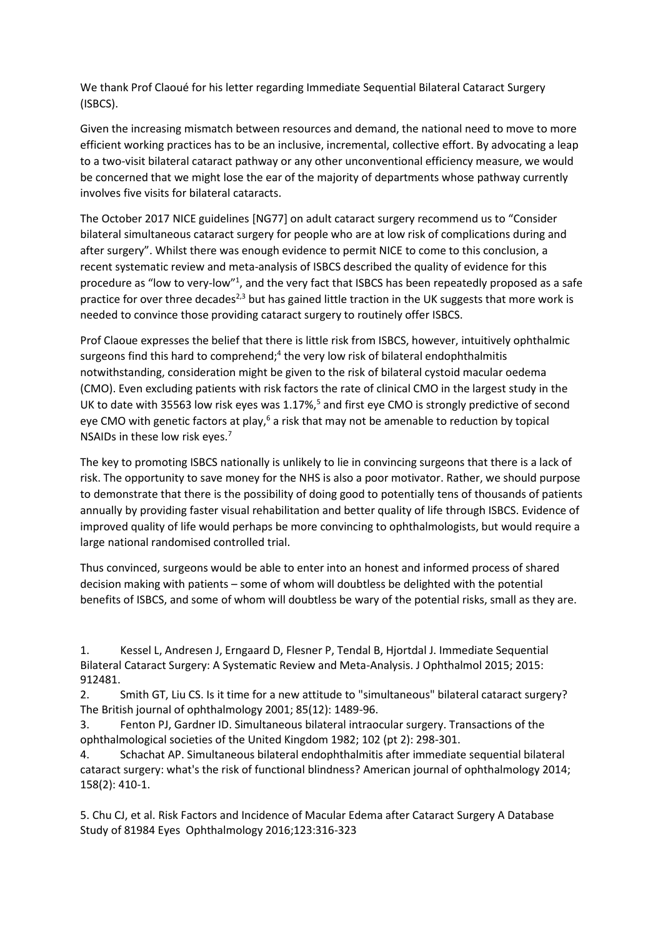We thank Prof Claoué for his letter regarding Immediate Sequential Bilateral Cataract Surgery (ISBCS).

Given the increasing mismatch between resources and demand, the national need to move to more efficient working practices has to be an inclusive, incremental, collective effort. By advocating a leap to a two-visit bilateral cataract pathway or any other unconventional efficiency measure, we would be concerned that we might lose the ear of the majority of departments whose pathway currently involves five visits for bilateral cataracts.

The October 2017 NICE guidelines [NG77] on adult cataract surgery recommend us to "Consider bilateral simultaneous cataract surgery for people who are at low risk of complications during and after surgery". Whilst there was enough evidence to permit NICE to come to this conclusion, a recent systematic review and meta-analysis of ISBCS described the quality of evidence for this procedure as "low to very-low"<sup>1</sup>, and the very fact that ISBCS has been repeatedly proposed as a safe practice for over three decades<sup>2,3</sup> but has gained little traction in the UK suggests that more work is needed to convince those providing cataract surgery to routinely offer ISBCS.

Prof Claoue expresses the belief that there is little risk from ISBCS, however, intuitively ophthalmic surgeons find this hard to comprehend;<sup>4</sup> the very low risk of bilateral endophthalmitis notwithstanding, consideration might be given to the risk of bilateral cystoid macular oedema (CMO). Even excluding patients with risk factors the rate of clinical CMO in the largest study in the UK to date with 35563 low risk eyes was  $1.17\%$ ,<sup>5</sup> and first eye CMO is strongly predictive of second eye CMO with genetic factors at play,<sup>6</sup> a risk that may not be amenable to reduction by topical NSAIDs in these low risk eyes.<sup>7</sup>

The key to promoting ISBCS nationally is unlikely to lie in convincing surgeons that there is a lack of risk. The opportunity to save money for the NHS is also a poor motivator. Rather, we should purpose to demonstrate that there is the possibility of doing good to potentially tens of thousands of patients annually by providing faster visual rehabilitation and better quality of life through ISBCS. Evidence of improved quality of life would perhaps be more convincing to ophthalmologists, but would require a large national randomised controlled trial.

Thus convinced, surgeons would be able to enter into an honest and informed process of shared decision making with patients – some of whom will doubtless be delighted with the potential benefits of ISBCS, and some of whom will doubtless be wary of the potential risks, small as they are.

1. Kessel L, Andresen J, Erngaard D, Flesner P, Tendal B, Hjortdal J. Immediate Sequential Bilateral Cataract Surgery: A Systematic Review and Meta-Analysis. J Ophthalmol 2015; 2015: 912481.

2. Smith GT, Liu CS. Is it time for a new attitude to "simultaneous" bilateral cataract surgery? The British journal of ophthalmology 2001; 85(12): 1489-96.

3. Fenton PJ, Gardner ID. Simultaneous bilateral intraocular surgery. Transactions of the ophthalmological societies of the United Kingdom 1982; 102 (pt 2): 298-301.

4. Schachat AP. Simultaneous bilateral endophthalmitis after immediate sequential bilateral cataract surgery: what's the risk of functional blindness? American journal of ophthalmology 2014; 158(2): 410-1.

5. Chu CJ, et al. Risk Factors and Incidence of Macular Edema after Cataract Surgery A Database Study of 81984 Eyes Ophthalmology 2016;123:316-323